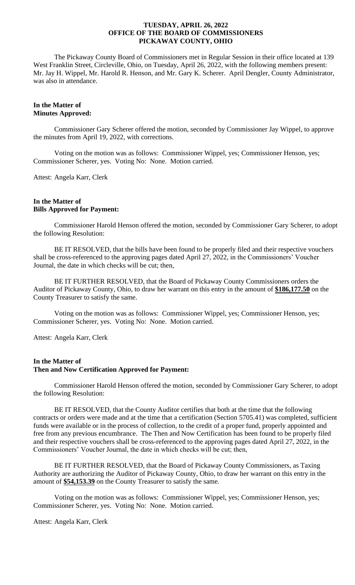The Pickaway County Board of Commissioners met in Regular Session in their office located at 139 West Franklin Street, Circleville, Ohio, on Tuesday, April 26, 2022, with the following members present: Mr. Jay H. Wippel, Mr. Harold R. Henson, and Mr. Gary K. Scherer. April Dengler, County Administrator, was also in attendance.

## **In the Matter of Minutes Approved:**

Commissioner Gary Scherer offered the motion, seconded by Commissioner Jay Wippel, to approve the minutes from April 19, 2022, with corrections.

Voting on the motion was as follows: Commissioner Wippel, yes; Commissioner Henson, yes; Commissioner Scherer, yes. Voting No: None. Motion carried.

Attest: Angela Karr, Clerk

#### **In the Matter of Bills Approved for Payment:**

Commissioner Harold Henson offered the motion, seconded by Commissioner Gary Scherer, to adopt the following Resolution:

BE IT RESOLVED, that the bills have been found to be properly filed and their respective vouchers shall be cross-referenced to the approving pages dated April 27, 2022, in the Commissioners' Voucher Journal, the date in which checks will be cut; then,

BE IT FURTHER RESOLVED, that the Board of Pickaway County Commissioners orders the Auditor of Pickaway County, Ohio, to draw her warrant on this entry in the amount of **\$186,177.50** on the County Treasurer to satisfy the same.

Voting on the motion was as follows: Commissioner Wippel, yes; Commissioner Henson, yes; Commissioner Scherer, yes. Voting No: None. Motion carried.

Attest: Angela Karr, Clerk

## **In the Matter of Then and Now Certification Approved for Payment:**

Commissioner Harold Henson offered the motion, seconded by Commissioner Gary Scherer, to adopt the following Resolution:

BE IT RESOLVED, that the County Auditor certifies that both at the time that the following contracts or orders were made and at the time that a certification (Section 5705.41) was completed, sufficient funds were available or in the process of collection, to the credit of a proper fund, properly appointed and free from any previous encumbrance. The Then and Now Certification has been found to be properly filed and their respective vouchers shall be cross-referenced to the approving pages dated April 27, 2022, in the Commissioners' Voucher Journal, the date in which checks will be cut; then,

BE IT FURTHER RESOLVED, that the Board of Pickaway County Commissioners, as Taxing Authority are authorizing the Auditor of Pickaway County, Ohio, to draw her warrant on this entry in the amount of **\$54,153.39** on the County Treasurer to satisfy the same.

Voting on the motion was as follows: Commissioner Wippel, yes; Commissioner Henson, yes; Commissioner Scherer, yes. Voting No: None. Motion carried.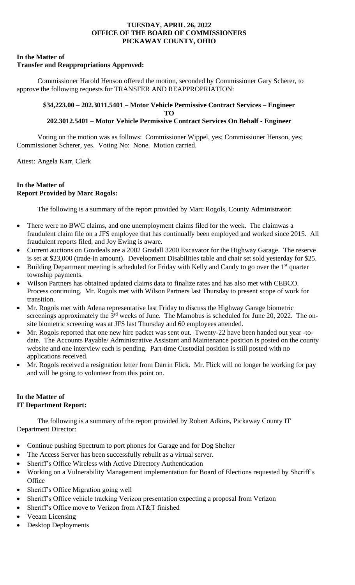## **In the Matter of**

# **Transfer and Reappropriations Approved:**

Commissioner Harold Henson offered the motion, seconded by Commissioner Gary Scherer, to approve the following requests for TRANSFER AND REAPPROPRIATION:

# **\$34,223.00 – 202.3011.5401 – Motor Vehicle Permissive Contract Services – Engineer TO**

# **202.3012.5401 – Motor Vehicle Permissive Contract Services On Behalf - Engineer**

Voting on the motion was as follows: Commissioner Wippel, yes; Commissioner Henson, yes; Commissioner Scherer, yes. Voting No: None. Motion carried.

Attest: Angela Karr, Clerk

# **In the Matter of Report Provided by Marc Rogols:**

The following is a summary of the report provided by Marc Rogols, County Administrator:

- There were no BWC claims, and one unemployment claims filed for the week. The claimwas a fraudulent claim file on a JFS employee that has continually been employed and worked since 2015. All fraudulent reports filed, and Joy Ewing is aware.
- Current auctions on Govdeals are a 2002 Gradall 3200 Excavator for the Highway Garage. The reserve is set at \$23,000 (trade-in amount). Development Disabilities table and chair set sold yesterday for \$25.
- Building Department meeting is scheduled for Friday with Kelly and Candy to go over the  $1<sup>st</sup>$  quarter township payments.
- Wilson Partners has obtained updated claims data to finalize rates and has also met with CEBCO. Process continuing. Mr. Rogols met with Wilson Partners last Thursday to present scope of work for transition.
- Mr. Rogols met with Adena representative last Friday to discuss the Highway Garage biometric screenings approximately the 3<sup>rd</sup> weeks of June. The Mamobus is scheduled for June 20, 2022. The onsite biometric screening was at JFS last Thursday and 60 employees attended.
- Mr. Rogols reported that one new hire packet was sent out. Twenty-22 have been handed out year -todate. The Accounts Payable/ Administrative Assistant and Maintenance position is posted on the county website and one interview each is pending. Part-time Custodial position is still posted with no applications received.
- Mr. Rogols received a resignation letter from Darrin Flick. Mr. Flick will no longer be working for pay and will be going to volunteer from this point on.

# **In the Matter of IT Department Report:**

The following is a summary of the report provided by Robert Adkins, Pickaway County IT Department Director:

- Continue pushing Spectrum to port phones for Garage and for Dog Shelter
- The Access Server has been successfully rebuilt as a virtual server.
- Sheriff's Office Wireless with Active Directory Authentication
- Working on a Vulnerability Management implementation for Board of Elections requested by Sheriff's **Office**
- Sheriff's Office Migration going well
- Sheriff's Office vehicle tracking Verizon presentation expecting a proposal from Verizon
- Sheriff's Office move to Verizon from AT&T finished
- Veeam Licensing
- Desktop Deployments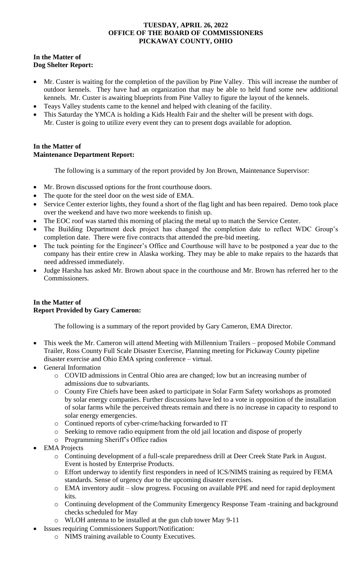## **In the Matter of Dog Shelter Report:**

- Mr. Custer is waiting for the completion of the pavilion by Pine Valley. This will increase the number of outdoor kennels. They have had an organization that may be able to held fund some new additional kennels. Mr. Custer is awaiting blueprints from Pine Valley to figure the layout of the kennels.
- Teays Valley students came to the kennel and helped with cleaning of the facility.
- This Saturday the YMCA is holding a Kids Health Fair and the shelter will be present with dogs. Mr. Custer is going to utilize every event they can to present dogs available for adoption.

# **In the Matter of Maintenance Department Report:**

The following is a summary of the report provided by Jon Brown, Maintenance Supervisor:

- Mr. Brown discussed options for the front courthouse doors.
- The quote for the steel door on the west side of EMA.
- Service Center exterior lights, they found a short of the flag light and has been repaired. Demo took place over the weekend and have two more weekends to finish up.
- The EOC roof was started this morning of placing the metal up to match the Service Center.
- The Building Department deck project has changed the completion date to reflect WDC Group's completion date. There were five contracts that attended the pre-bid meeting.
- The tuck pointing for the Engineer's Office and Courthouse will have to be postponed a year due to the company has their entire crew in Alaska working. They may be able to make repairs to the hazards that need addressed immediately.
- Judge Harsha has asked Mr. Brown about space in the courthouse and Mr. Brown has referred her to the Commissioners.

## **In the Matter of Report Provided by Gary Cameron:**

The following is a summary of the report provided by Gary Cameron, EMA Director.

- This week the Mr. Cameron will attend Meeting with Millennium Trailers proposed Mobile Command Trailer, Ross County Full Scale Disaster Exercise, Planning meeting for Pickaway County pipeline disaster exercise and Ohio EMA spring conference – virtual.
- General Information
	- o COVID admissions in Central Ohio area are changed; low but an increasing number of admissions due to subvariants.
	- o County Fire Chiefs have been asked to participate in Solar Farm Safety workshops as promoted by solar energy companies. Further discussions have led to a vote in opposition of the installation of solar farms while the perceived threats remain and there is no increase in capacity to respond to solar energy emergencies.
	- o Continued reports of cyber-crime/hacking forwarded to IT
	- o Seeking to remove radio equipment from the old jail location and dispose of properly
	- o Programming Sheriff's Office radios
- EMA Projects
	- o Continuing development of a full-scale preparedness drill at Deer Creek State Park in August. Event is hosted by Enterprise Products.
	- o Effort underway to identify first responders in need of ICS/NIMS training as required by FEMA standards. Sense of urgency due to the upcoming disaster exercises.
	- o EMA inventory audit slow progress. Focusing on available PPE and need for rapid deployment kits.
	- o Continuing development of the Community Emergency Response Team -training and background checks scheduled for May
	- o WLOH antenna to be installed at the gun club tower May 9-11
- Issues requiring Commissioners Support/Notification:
	- o NIMS training available to County Executives.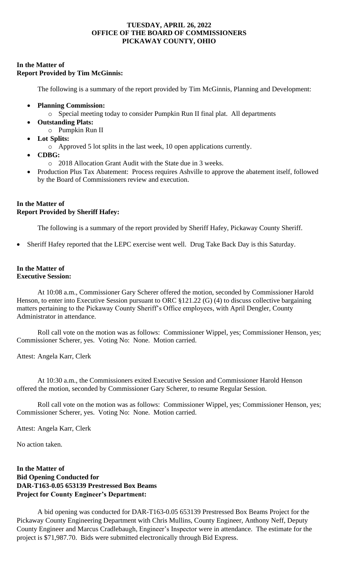# **In the Matter of Report Provided by Tim McGinnis:**

The following is a summary of the report provided by Tim McGinnis, Planning and Development:

- **Planning Commission:** 
	- o Special meeting today to consider Pumpkin Run II final plat. All departments
- **Outstanding Plats:**
	- o Pumpkin Run II
- **Lot Splits:**
	- o Approved 5 lot splits in the last week, 10 open applications currently.
- **CDBG:** 
	- o 2018 Allocation Grant Audit with the State due in 3 weeks.
- Production Plus Tax Abatement: Process requires Ashville to approve the abatement itself, followed by the Board of Commissioners review and execution.

## **In the Matter of Report Provided by Sheriff Hafey:**

The following is a summary of the report provided by Sheriff Hafey, Pickaway County Sheriff.

• Sheriff Hafey reported that the LEPC exercise went well. Drug Take Back Day is this Saturday.

#### **In the Matter of Executive Session:**

At 10:08 a.m., Commissioner Gary Scherer offered the motion, seconded by Commissioner Harold Henson, to enter into Executive Session pursuant to ORC §121.22 (G) (4) to discuss collective bargaining matters pertaining to the Pickaway County Sheriff's Office employees, with April Dengler, County Administrator in attendance.

Roll call vote on the motion was as follows: Commissioner Wippel, yes; Commissioner Henson, yes; Commissioner Scherer, yes. Voting No: None. Motion carried.

Attest: Angela Karr, Clerk

At 10:30 a.m., the Commissioners exited Executive Session and Commissioner Harold Henson offered the motion, seconded by Commissioner Gary Scherer, to resume Regular Session.

Roll call vote on the motion was as follows: Commissioner Wippel, yes; Commissioner Henson, yes; Commissioner Scherer, yes. Voting No: None. Motion carried.

Attest: Angela Karr, Clerk

No action taken.

**In the Matter of Bid Opening Conducted for DAR-T163-0.05 653139 Prestressed Box Beams Project for County Engineer's Department:**

A bid opening was conducted for DAR-T163-0.05 653139 Prestressed Box Beams Project for the Pickaway County Engineering Department with Chris Mullins, County Engineer, Anthony Neff, Deputy County Engineer and Marcus Cradlebaugh, Engineer's Inspector were in attendance. The estimate for the project is \$71,987.70. Bids were submitted electronically through Bid Express.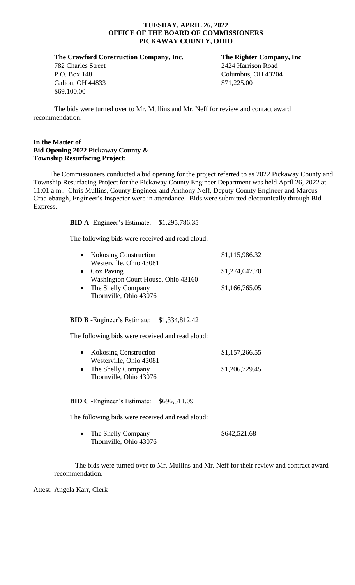**The Crawford Construction Company, Inc. The Righter Company, Inc**

Galion, OH 44833 \$71,225.00 \$69,100.00

782 Charles Street 2424 Harrison Road P.O. Box 148 Columbus, OH 43204

The bids were turned over to Mr. Mullins and Mr. Neff for review and contact award recommendation.

#### **In the Matter of Bid Opening 2022 Pickaway County & Township Resurfacing Project:**

The Commissioners conducted a bid opening for the project referred to as 2022 Pickaway County and Township Resurfacing Project for the Pickaway County Engineer Department was held April 26, 2022 at 11:01 a.m.. Chris Mullins, County Engineer and Anthony Neff, Deputy County Engineer and Marcus Cradlebaugh, Engineer's Inspector were in attendance. Bids were submitted electronically through Bid Express.

**BID A** -Engineer's Estimate: \$1,295,786.35

The following bids were received and read aloud:

| $\bullet$ | <b>Kokosing Construction</b>       | \$1,115,986.32 |
|-----------|------------------------------------|----------------|
|           | Westerville, Ohio 43081            |                |
| $\bullet$ | Cox Paving                         | \$1,274,647.70 |
|           | Washington Court House, Ohio 43160 |                |
| $\bullet$ | The Shelly Company                 | \$1,166,765.05 |
|           | Thornville, Ohio 43076             |                |

## **BID B** -Engineer's Estimate: \$1,334,812.42

The following bids were received and read aloud:

| • Kokosing Construction | \$1,157,266.55 |
|-------------------------|----------------|
| Westerville, Ohio 43081 |                |
| • The Shelly Company    | \$1,206,729.45 |
| Thornville, Ohio 43076  |                |

## **BID C** -Engineer's Estimate: \$696,511.09

The following bids were received and read aloud:

• The Shelly Company \$642,521.68 Thornville, Ohio 43076

The bids were turned over to Mr. Mullins and Mr. Neff for their review and contract award recommendation.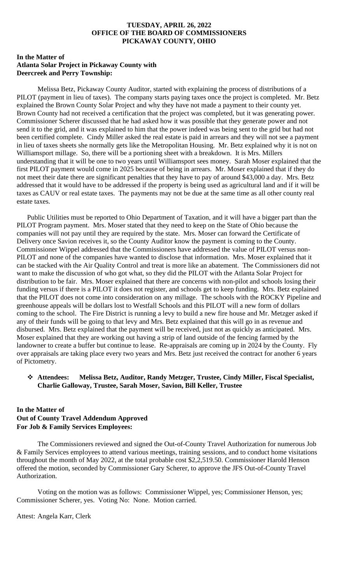## **In the Matter of Atlanta Solar Project in Pickaway County with Deercreek and Perry Township:**

Melissa Betz, Pickaway County Auditor, started with explaining the process of distributions of a PILOT (payment in lieu of taxes). The company starts paying taxes once the project is completed. Mr. Betz explained the Brown County Solar Project and why they have not made a payment to their county yet. Brown County had not received a certification that the project was completed, but it was generating power. Commissioner Scherer discussed that he had asked how it was possible that they generate power and not send it to the grid, and it was explained to him that the power indeed was being sent to the grid but had not been certified complete. Cindy Miller asked the real estate is paid in arrears and they will not see a payment in lieu of taxes sheets she normally gets like the Metropolitan Housing. Mr. Betz explained why it is not on Williamsport millage. So, there will be a portioning sheet with a breakdown. It is Mrs. Millers understanding that it will be one to two years until Williamsport sees money. Sarah Moser explained that the first PILOT payment would come in 2025 because of being in arrears. Mr. Moser explained that if they do not meet their date there are significant penalties that they have to pay of around \$43,000 a day. Mrs. Betz addressed that it would have to be addressed if the property is being used as agricultural land and if it will be taxes as CAUV or real estate taxes. The payments may not be due at the same time as all other county real estate taxes.

Public Utilities must be reported to Ohio Department of Taxation, and it will have a bigger part than the PILOT Program payment. Mrs. Moser stated that they need to keep on the State of Ohio because the companies will not pay until they are required by the state. Mrs. Moser can forward the Certificate of Delivery once Savion receives it, so the County Auditor know the payment is coming to the County. Commissioner Wippel addressed that the Commissioners have addressed the value of PILOT versus non-PILOT and none of the companies have wanted to disclose that information. Mrs. Moser explained that it can be stacked with the Air Quality Control and treat is more like an abatement. The Commissioners did not want to make the discussion of who got what, so they did the PILOT with the Atlanta Solar Project for distribution to be fair. Mrs. Moser explained that there are concerns with non-pilot and schools losing their funding versus if there is a PILOT it does not register, and schools get to keep funding. Mrs. Betz explained that the PILOT does not come into consideration on any millage. The schools with the ROCKY Pipeline and greenhouse appeals will be dollars lost to Westfall Schools and this PILOT will a new form of dollars coming to the school. The Fire District is running a levy to build a new fire house and Mr. Metzger asked if any of their funds will be going to that levy and Mrs. Betz explained that this will go in as revenue and disbursed. Mrs. Betz explained that the payment will be received, just not as quickly as anticipated. Mrs. Moser explained that they are working out having a strip of land outside of the fencing farmed by the landowner to create a buffer but continue to lease. Re-appraisals are coming up in 2024 by the County. Fly over appraisals are taking place every two years and Mrs. Betz just received the contract for another 6 years of Pictometry.

#### ❖ **Attendees: Melissa Betz, Auditor, Randy Metzger, Trustee, Cindy Miller, Fiscal Specialist, Charlie Galloway, Trustee, Sarah Moser, Savion, Bill Keller, Trustee**

## **In the Matter of Out of County Travel Addendum Approved For Job & Family Services Employees:**

The Commissioners reviewed and signed the Out-of-County Travel Authorization for numerous Job & Family Services employees to attend various meetings, training sessions, and to conduct home visitations throughout the month of May 2022, at the total probable cost \$2,2,519.50. Commissioner Harold Henson offered the motion, seconded by Commissioner Gary Scherer, to approve the JFS Out-of-County Travel Authorization.

Voting on the motion was as follows: Commissioner Wippel, yes; Commissioner Henson, yes; Commissioner Scherer, yes. Voting No: None. Motion carried.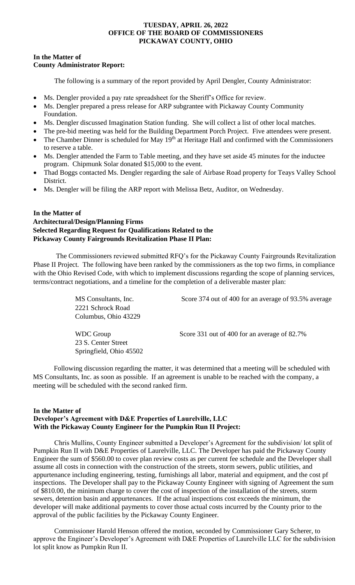## **In the Matter of County Administrator Report:**

The following is a summary of the report provided by April Dengler, County Administrator:

- Ms. Dengler provided a pay rate spreadsheet for the Sheriff's Office for review.
- Ms. Dengler prepared a press release for ARP subgrantee with Pickaway County Community Foundation.
- Ms. Dengler discussed Imagination Station funding. She will collect a list of other local matches.
- The pre-bid meeting was held for the Building Department Porch Project. Five attendees were present.
- The Chamber Dinner is scheduled for May  $19<sup>th</sup>$  at Heritage Hall and confirmed with the Commissioners to reserve a table.
- Ms. Dengler attended the Farm to Table meeting, and they have set aside 45 minutes for the inductee program. Chipmunk Solar donated \$15,000 to the event.
- Thad Boggs contacted Ms. Dengler regarding the sale of Airbase Road property for Teays Valley School District.
- Ms. Dengler will be filing the ARP report with Melissa Betz, Auditor, on Wednesday.

## **In the Matter of Architectural/Design/Planning Firms Selected Regarding Request for Qualifications Related to the Pickaway County Fairgrounds Revitalization Phase II Plan:**

The Commissioners reviewed submitted RFQ's for the Pickaway County Fairgrounds Revitalization Phase II Project. The following have been ranked by the commissioners as the top two firms, in compliance with the Ohio Revised Code, with which to implement discussions regarding the scope of planning services, terms/contract negotiations, and a timeline for the completion of a deliverable master plan:

> MS Consultants, Inc. Score 374 out of 400 for an average of 93.5% average 2221 Schrock Road Columbus, Ohio 43229 WDC Group Score 331 out of 400 for an average of 82.7%

23 S. Center Street Springfield, Ohio 45502

Following discussion regarding the matter, it was determined that a meeting will be scheduled with MS Consultants, Inc. as soon as possible. If an agreement is unable to be reached with the company, a meeting will be scheduled with the second ranked firm.

# **In the Matter of**

# **Developer's Agreement with D&E Properties of Laurelville, LLC With the Pickaway County Engineer for the Pumpkin Run II Project:**

Chris Mullins, County Engineer submitted a Developer's Agreement for the subdivision/ lot split of Pumpkin Run II with D&E Properties of Laurelville, LLC. The Developer has paid the Pickaway County Engineer the sum of \$560.00 to cover plan review costs as per current fee schedule and the Developer shall assume all costs in connection with the construction of the streets, storm sewers, public utilities, and appurtenance including engineering, testing, furnishings all labor, material and equipment, and the cost pf inspections. The Developer shall pay to the Pickaway County Engineer with signing of Agreement the sum of \$810.00, the minimum charge to cover the cost of inspection of the installation of the streets, storm sewers, detention basin and appurtenances. If the actual inspections cost exceeds the minimum, the developer will make additional payments to cover those actual costs incurred by the County prior to the approval of the public facilities by the Pickaway County Engineer.

Commissioner Harold Henson offered the motion, seconded by Commissioner Gary Scherer, to approve the Engineer's Developer's Agreement with D&E Properties of Laurelville LLC for the subdivision lot split know as Pumpkin Run II.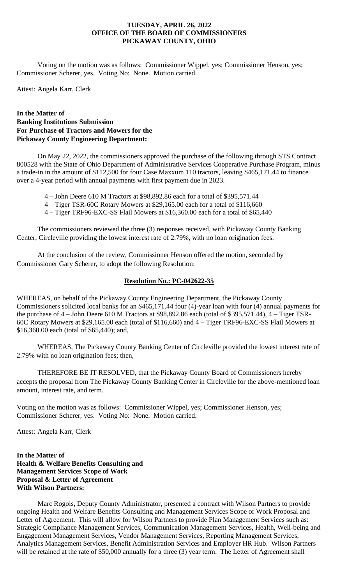Voting on the motion was as follows: Commissioner Wippel, yes; Commissioner Henson, yes; Commissioner Scherer, yes. Voting No: None. Motion carried.

Attest: Angela Karr, Clerk

# **In the Matter of Banking Institutions Submission For Purchase of Tractors and Mowers for the Pickaway County Engineering Department:**

On May 22, 2022, the commissioners approved the purchase of the following through STS Contract 800528 with the State of Ohio Department of Administrative Services Cooperative Purchase Program, minus a trade-in in the amount of \$112,500 for four Case Maxxum 110 tractors, leaving \$465,171.44 to finance over a 4-year period with annual payments with first payment due in 2023.

4 – John Deere 610 M Tractors at \$98,892.86 each for a total of \$395,571.44

4 – Tiger TSR-60C Rotary Mowers at \$29,165.00 each for a total of \$116,660

4 – Tiger TRF96-EXC-SS Flail Mowers at \$16,360.00 each for a total of \$65,440

The commissioners reviewed the three (3) responses received, with Pickaway County Banking Center, Circleville providing the lowest interest rate of 2.79%, with no loan origination fees.

At the conclusion of the review, Commissioner Henson offered the motion, seconded by Commissioner Gary Scherer, to adopt the following Resolution:

## **Resolution No.: PC-042622-35**

WHEREAS, on behalf of the Pickaway County Engineering Department, the Pickaway County Commissioners solicited local banks for an \$465,171.44 four (4)-year loan with four (4) annual payments for the purchase of 4 – John Deere 610 M Tractors at \$98,892.86 each (total of \$395,571.44), 4 – Tiger TSR-60C Rotary Mowers at \$29,165.00 each (total of \$116,660) and 4 – Tiger TRF96-EXC-SS Flail Mowers at \$16,360.00 each (total of \$65,440); and,

WHEREAS, The Pickaway County Banking Center of Circleville provided the lowest interest rate of 2.79% with no loan origination fees; then,

THEREFORE BE IT RESOLVED, that the Pickaway County Board of Commissioners hereby accepts the proposal from The Pickaway County Banking Center in Circleville for the above-mentioned loan amount, interest rate, and term.

Voting on the motion was as follows: Commissioner Wippel, yes; Commissioner Henson, yes; Commissioner Scherer, yes. Voting No: None. Motion carried.

Attest: Angela Karr, Clerk

**In the Matter of Health & Welfare Benefits Consulting and Management Services Scope of Work Proposal & Letter of Agreement With Wilson Partners:**

Marc Rogols, Deputy County Administrator, presented a contract with Wilson Partners to provide ongoing Health and Welfare Benefits Consulting and Management Services Scope of Work Proposal and Letter of Agreement. This will allow for Wilson Partners to provide Plan Management Services such as: Strategic Compliance Management Services, Communication Management Services, Health, Well-being and Engagement Management Services, Vendor Management Services, Reporting Management Services, Analytics Management Services, Benefit Administration Services and Employer HR Hub. Wilson Partners will be retained at the rate of \$50,000 annually for a three (3) year term. The Letter of Agreement shall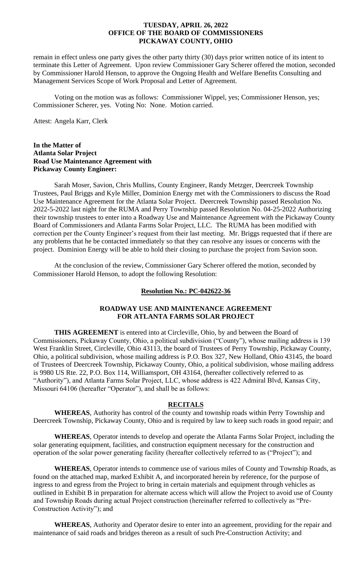remain in effect unless one party gives the other party thirty (30) days prior written notice of its intent to terminate this Letter of Agreement. Upon review Commissioner Gary Scherer offered the motion, seconded by Commissioner Harold Henson, to approve the Ongoing Health and Welfare Benefits Consulting and Management Services Scope of Work Proposal and Letter of Agreement.

Voting on the motion was as follows: Commissioner Wippel, yes; Commissioner Henson, yes; Commissioner Scherer, yes. Voting No: None. Motion carried.

Attest: Angela Karr, Clerk

#### **In the Matter of Atlanta Solar Project Road Use Maintenance Agreement with Pickaway County Engineer:**

Sarah Moser, Savion, Chris Mullins, County Engineer, Randy Metzger, Deercreek Township Trustees, Paul Briggs and Kyle Miller, Dominion Energy met with the Commissioners to discuss the Road Use Maintenance Agreement for the Atlanta Solar Project. Deercreek Township passed Resolution No. 2022-5-2022 last night for the RUMA and Perry Township passed Resolution No. 04-25-2022 Authorizing their township trustees to enter into a Roadway Use and Maintenance Agreement with the Pickaway County Board of Commissioners and Atlanta Farms Solar Project, LLC. The RUMA has been modified with correction per the County Engineer's request from their last meeting. Mr. Briggs requested that if there are any problems that he be contacted immediately so that they can resolve any issues or concerns with the project. Dominion Energy will be able to hold their closing to purchase the project from Savion soon.

At the conclusion of the review, Commissioner Gary Scherer offered the motion, seconded by Commissioner Harold Henson, to adopt the following Resolution:

#### **Resolution No.: PC-042622-36**

## **ROADWAY USE AND MAINTENANCE AGREEMENT FOR ATLANTA FARMS SOLAR PROJECT**

**THIS AGREEMENT** is entered into at Circleville, Ohio, by and between the Board of Commissioners, Pickaway County, Ohio, a political subdivision ("County"), whose mailing address is 139 West Franklin Street, Circleville, Ohio 43113, the board of Trustees of Perry Township, Pickaway County, Ohio, a political subdivision, whose mailing address is P.O. Box 327, New Holland, Ohio 43145, the board of Trustees of Deercreek Township, Pickaway County, Ohio, a political subdivision, whose mailing address is 9980 US Rte. 22, P.O. Box 114, Williamsport, OH 43164, (hereafter collectively referred to as "Authority"), and Atlanta Farms Solar Project, LLC, whose address is 422 Admiral Blvd, Kansas City, Missouri 64106 (hereafter "Operator"), and shall be as follows:

## **RECITALS**

**WHEREAS**, Authority has control of the county and township roads within Perry Township and Deercreek Township, Pickaway County, Ohio and is required by law to keep such roads in good repair; and

**WHEREAS**, Operator intends to develop and operate the Atlanta Farms Solar Project, including the solar generating equipment, facilities, and construction equipment necessary for the construction and operation of the solar power generating facility (hereafter collectively referred to as ("Project"); and

**WHEREAS**, Operator intends to commence use of various miles of County and Township Roads, as found on the attached map, marked Exhibit A, and incorporated herein by reference, for the purpose of ingress to and egress from the Project to bring in certain materials and equipment through vehicles as outlined in Exhibit B in preparation for alternate access which will allow the Project to avoid use of County and Township Roads during actual Project construction (hereinafter referred to collectively as "Pre-Construction Activity"); and

**WHEREAS**, Authority and Operator desire to enter into an agreement, providing for the repair and maintenance of said roads and bridges thereon as a result of such Pre-Construction Activity; and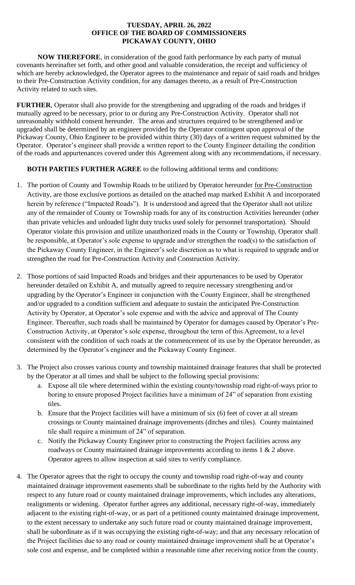**NOW THEREFORE**, in consideration of the good faith performance by each party of mutual covenants hereinafter set forth, and other good and valuable consideration, the receipt and sufficiency of which are hereby acknowledged, the Operator agrees to the maintenance and repair of said roads and bridges to their Pre-Construction Activity condition, for any damages thereto, as a result of Pre-Construction Activity related to such sites.

**FURTHER**, Operator shall also provide for the strengthening and upgrading of the roads and bridges if mutually agreed to be necessary, prior to or during any Pre-Construction Activity. Operator shall not unreasonably withhold consent hereunder. The areas and structures required to be strengthened and/or upgraded shall be determined by an engineer provided by the Operator contingent upon approval of the Pickaway County, Ohio Engineer to be provided within thirty (30) days of a written request submitted by the Operator. Operator's engineer shall provide a written report to the County Engineer detailing the condition of the roads and appurtenances covered under this Agreement along with any recommendations, if necessary.

# **BOTH PARTIES FURTHER AGREE** to the following additional terms and conditions:

- 1. The portion of County and Township Roads to be utilized by Operator hereunder for Pre-Construction Activity, are those exclusive portions as detailed on the attached map marked Exhibit A and incorporated herein by reference ("Impacted Roads"). It is understood and agreed that the Operator shall not utilize any of the remainder of County or Township roads for any of its construction Activities hereunder (other than private vehicles and unloaded light duty trucks used solely for personnel transportation). Should Operator violate this provision and utilize unauthorized roads in the County or Township, Operator shall be responsible, at Operator's sole expense to upgrade and/or strengthen the road(s) to the satisfaction of the Pickaway County Engineer, in the Engineer's sole discretion as to what is required to upgrade and/or strengthen the road for Pre-Construction Activity and Construction Activity.
- 2. Those portions of said Impacted Roads and bridges and their appurtenances to be used by Operator hereunder detailed on Exhibit A, and mutually agreed to require necessary strengthening and/or upgrading by the Operator's Engineer in conjunction with the County Engineer, shall be strengthened and/or upgraded to a condition sufficient and adequate to sustain the anticipated Pre-Construction Activity by Operator, at Operator's sole expense and with the advice and approval of The County Engineer. Thereafter, such roads shall be maintained by Operator for damages caused by Operator's Pre-Construction Activity, at Operator's sole expense, throughout the term of this Agreement, to a level consistent with the condition of such roads at the commencement of its use by the Operator hereunder, as determined by the Operator's engineer and the Pickaway County Engineer.
- 3. The Project also crosses various county and township maintained drainage features that shall be protected by the Operator at all times and shall be subject to the following special provisions:
	- a. Expose all tile where determined within the existing county/township road right-of-ways prior to boring to ensure proposed Project facilities have a minimum of 24" of separation from existing tiles.
	- b. Ensure that the Project facilities will have a minimum of six (6) feet of cover at all stream crossings or County maintained drainage improvements (ditches and tiles). County maintained tile shall require a minimum of 24" of separation.
	- c. Notify the Pickaway County Engineer prior to constructing the Project facilities across any roadways or County maintained drainage improvements according to items 1 & 2 above. Operator agrees to allow inspection at said sites to verify compliance.
- 4. The Operator agrees that the right to occupy the county and township road right-of-way and county maintained drainage improvement easements shall be subordinate to the rights held by the Authority with respect to any future road or county maintained drainage improvements, which includes any alterations, realignments or widening. Operator further agrees any additional, necessary right-of-way, immediately adjacent to the existing right-of-way, or as part of a petitioned county maintained drainage improvement, to the extent necessary to undertake any such future road or county maintained drainage improvement, shall be subordinate as if it was occupying the existing right-of-way; and that any necessary relocation of the Project facilities due to any road or county maintained drainage improvement shall be at Operator's sole cost and expense, and be completed within a reasonable time after receiving notice from the county.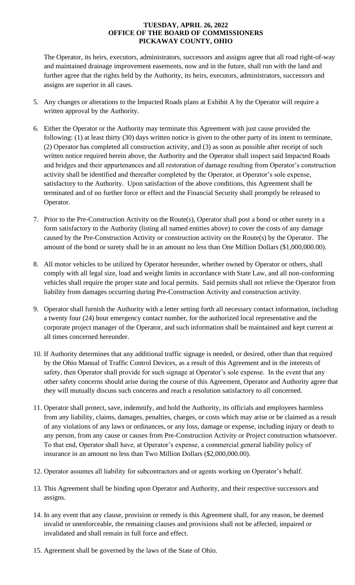The Operator, its heirs, executors, administrators, successors and assigns agree that all road right-of-way and maintained drainage improvement easements, now and in the future, shall run with the land and further agree that the rights held by the Authority, its heirs, executors, administrators, successors and assigns are superior in all cases.

- 5. Any changes or alterations to the Impacted Roads plans at Exhibit A by the Operator will require a written approval by the Authority.
- 6. Either the Operator or the Authority may terminate this Agreement with just cause provided the following: (1) at least thirty (30) days written notice is given to the other party of its intent to terminate, (2) Operator has completed all construction activity, and (3) as soon as possible after receipt of such written notice required herein above, the Authority and the Operator shall inspect said Impacted Roads and bridges and their appurtenances and all restoration of damage resulting from Operator's construction activity shall be identified and thereafter completed by the Operator, at Operator's sole expense, satisfactory to the Authority. Upon satisfaction of the above conditions, this Agreement shall be terminated and of no further force or effect and the Financial Security shall promptly be released to Operator.
- 7. Prior to the Pre-Construction Activity on the Route(s), Operator shall post a bond or other surety in a form satisfactory to the Authority (listing all named entities above) to cover the costs of any damage caused by the Pre-Construction Activity or construction activity on the Route(s) by the Operator. The amount of the bond or surety shall be in an amount no less than One Million Dollars (\$1,000,000.00).
- 8. All motor vehicles to be utilized by Operator hereunder, whether owned by Operator or others, shall comply with all legal size, load and weight limits in accordance with State Law, and all non-conforming vehicles shall require the proper state and local permits. Said permits shall not relieve the Operator from liability from damages occurring during Pre-Construction Activity and construction activity.
- 9. Operator shall furnish the Authority with a letter setting forth all necessary contact information, including a twenty four (24) hour emergency contact number, for the authorized local representative and the corporate project manager of the Operator, and such information shall be maintained and kept current at all times concerned hereunder.
- 10. If Authority determines that any additional traffic signage is needed, or desired, other than that required by the Ohio Manual of Traffic Control Devices, as a result of this Agreement and in the interests of safety, then Operator shall provide for such signage at Operator's sole expense. In the event that any other safety concerns should arise during the course of this Agreement, Operator and Authority agree that they will mutually discuss such concerns and reach a resolution satisfactory to all concerned.
- 11. Operator shall protect, save, indemnify, and hold the Authority, its officials and employees harmless from any liability, claims, damages, penalties, charges, or costs which may arise or be claimed as a result of any violations of any laws or ordinances, or any loss, damage or expense, including injury or death to any person, from any cause or causes from Pre-Construction Activity or Project construction whatsoever. To that end, Operator shall have, at Operator's expense, a commercial general liability policy of insurance in an amount no less than Two Million Dollars (\$2,000,000.00).
- 12. Operator assumes all liability for subcontractors and or agents working on Operator's behalf.
- 13. This Agreement shall be binding upon Operator and Authority, and their respective successors and assigns.
- 14. In any event that any clause, provision or remedy is this Agreement shall, for any reason, be deemed invalid or unenforceable, the remaining clauses and provisions shall not be affected, impaired or invalidated and shall remain in full force and effect.
- 15. Agreement shall be governed by the laws of the State of Ohio.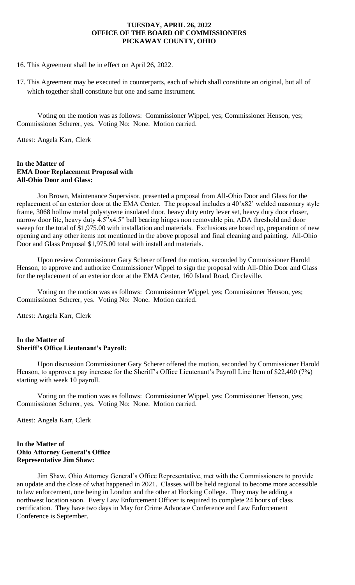16. This Agreement shall be in effect on April 26, 2022.

17. This Agreement may be executed in counterparts, each of which shall constitute an original, but all of which together shall constitute but one and same instrument.

Voting on the motion was as follows: Commissioner Wippel, yes; Commissioner Henson, yes; Commissioner Scherer, yes. Voting No: None. Motion carried.

Attest: Angela Karr, Clerk

#### **In the Matter of EMA Door Replacement Proposal with All-Ohio Door and Glass:**

Jon Brown, Maintenance Supervisor, presented a proposal from All-Ohio Door and Glass for the replacement of an exterior door at the EMA Center. The proposal includes a 40'x82' welded masonary style frame, 3068 hollow metal polystyrene insulated door, heavy duty entry lever set, heavy duty door closer, narrow door lite, heavy duty 4.5"x4.5" ball bearing hinges non removable pin, ADA threshold and door sweep for the total of \$1,975.00 with installation and materials. Exclusions are board up, preparation of new opening and any other items not mentioned in the above proposal and final cleaning and painting. All-Ohio Door and Glass Proposal \$1,975.00 total with install and materials.

Upon review Commissioner Gary Scherer offered the motion, seconded by Commissioner Harold Henson, to approve and authorize Commissioner Wippel to sign the proposal with All-Ohio Door and Glass for the replacement of an exterior door at the EMA Center, 160 Island Road, Circleville.

Voting on the motion was as follows: Commissioner Wippel, yes; Commissioner Henson, yes; Commissioner Scherer, yes. Voting No: None. Motion carried.

Attest: Angela Karr, Clerk

## **In the Matter of Sheriff's Office Lieutenant's Payroll:**

Upon discussion Commissioner Gary Scherer offered the motion, seconded by Commissioner Harold Henson, to approve a pay increase for the Sheriff's Office Lieutenant's Payroll Line Item of \$22,400 (7%) starting with week 10 payroll.

Voting on the motion was as follows: Commissioner Wippel, yes; Commissioner Henson, yes; Commissioner Scherer, yes. Voting No: None. Motion carried.

Attest: Angela Karr, Clerk

#### **In the Matter of Ohio Attorney General's Office Representative Jim Shaw:**

Jim Shaw, Ohio Attorney General's Office Representative, met with the Commissioners to provide an update and the close of what happened in 2021. Classes will be held regional to become more accessible to law enforcement, one being in London and the other at Hocking College. They may be adding a northwest location soon. Every Law Enforcement Officer is required to complete 24 hours of class certification. They have two days in May for Crime Advocate Conference and Law Enforcement Conference is September.